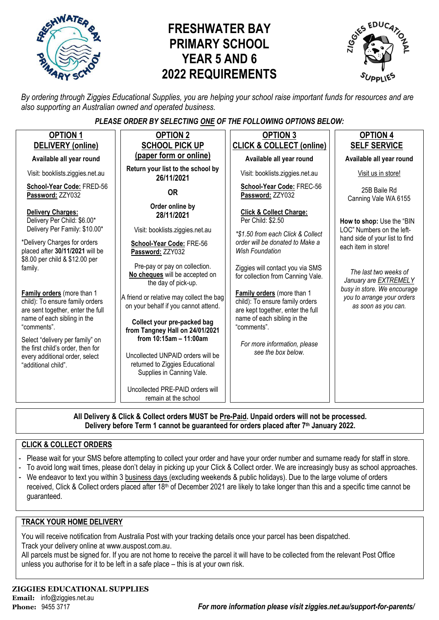

# **FRESHWATER BAY PRIMARY SCHOOL YEAR 5 AND 6 2022 REQUIREMENTS**



*By ordering through Ziggies Educational Supplies, you are helping your school raise important funds for resources and are also supporting an Australian owned and operated business.*

#### *PLEASE ORDER BY SELECTING ONE OF THE FOLLOWING OPTIONS BELOW:*

| <b>OPTION 1</b>                                                                                    | <b>OPTION 2</b>                                                                                   | <b>OPTION 3</b>                                                                                    | <b>OPTION 4</b>                                                                                                                                                                             |  |  |
|----------------------------------------------------------------------------------------------------|---------------------------------------------------------------------------------------------------|----------------------------------------------------------------------------------------------------|---------------------------------------------------------------------------------------------------------------------------------------------------------------------------------------------|--|--|
| DELIVERY (online)                                                                                  | <b>SCHOOL PICK UP</b>                                                                             | <b>CLICK &amp; COLLECT (online)</b>                                                                | <b>SELF SERVICE</b>                                                                                                                                                                         |  |  |
| Available all year round                                                                           | (paper form or online)                                                                            | Available all year round                                                                           | Available all year round                                                                                                                                                                    |  |  |
| Visit: booklists.ziggies.net.au                                                                    | Return your list to the school by<br>26/11/2021                                                   | Visit: booklists.ziggies.net.au                                                                    | Visit us in store!                                                                                                                                                                          |  |  |
| School-Year Code: FRED-56<br>Password: ZZY032                                                      | <b>OR</b>                                                                                         | School-Year Code: FREC-56<br>Password: ZZY032                                                      | 25B Baile Rd<br>Canning Vale WA 6155                                                                                                                                                        |  |  |
| Delivery Charges:<br>Delivery Per Child: \$6.00*<br>Delivery Per Family: \$10.00*                  | Order online by<br>28/11/2021<br>Visit: booklists.ziggies.net.au                                  | <b>Click &amp; Collect Charge:</b><br>Per Child: \$2.50<br>*\$1.50 from each Click & Collect       | How to shop: Use the "BIN<br>LOC" Numbers on the left-                                                                                                                                      |  |  |
| *Delivery Charges for orders<br>placed after 30/11/2021 will be                                    | School-Year Code: FRE-56<br>Password: ZZY032                                                      | order will be donated to Make a<br><b>Wish Foundation</b>                                          | hand side of your list to find<br>each item in store!<br>The last two weeks of<br>January are EXTREMELY<br>busy in store. We encourage<br>you to arrange your orders<br>as soon as you can. |  |  |
| \$8.00 per child & \$12.00 per<br>family.                                                          | Pre-pay or pay on collection.<br>No cheques will be accepted on<br>the day of pick-up.            | Ziggies will contact you via SMS<br>for collection from Canning Vale.                              |                                                                                                                                                                                             |  |  |
| Family orders (more than 1<br>child): To ensure family orders<br>are sent together, enter the full | A friend or relative may collect the bag<br>on your behalf if you cannot attend.                  | Family orders (more than 1<br>child): To ensure family orders<br>are kept together, enter the full |                                                                                                                                                                                             |  |  |
| name of each sibling in the<br>"comments".                                                         | Collect your pre-packed bag<br>from Tangney Hall on 24/01/2021                                    | name of each sibling in the<br>"comments".                                                         |                                                                                                                                                                                             |  |  |
| Select "delivery per family" on<br>the first child's order, then for                               | from 10:15am - 11:00am                                                                            | For more information, please                                                                       |                                                                                                                                                                                             |  |  |
| every additional order, select<br>"additional child".                                              | Uncollected UNPAID orders will be<br>returned to Ziggies Educational<br>Supplies in Canning Vale. | see the box below.                                                                                 |                                                                                                                                                                                             |  |  |
|                                                                                                    | Uncollected PRE-PAID orders will<br>remain at the school                                          |                                                                                                    |                                                                                                                                                                                             |  |  |
|                                                                                                    |                                                                                                   |                                                                                                    |                                                                                                                                                                                             |  |  |

**All Delivery & Click & Collect orders MUST be Pre-Paid. Unpaid orders will not be processed. Delivery before Term 1 cannot be guaranteed for orders placed after 7th January 2022.**

#### **CLICK & COLLECT ORDERS**

guaranteed.

- Please wait for your SMS before attempting to collect your order and have your order number and surname ready for staff in store.
- To avoid long wait times, please don't delay in picking up your Click & Collect order. We are increasingly busy as school approaches.
- We endeavor to text you within 3 business days (excluding weekends & public holidays). Due to the large volume of orders received, Click & Collect orders placed after 18<sup>th</sup> of December 2021 are likely to take longer than this and a specific time cannot be

# **TRACK YOUR HOME DELIVERY**

You will receive notification from Australia Post with your tracking details once your parcel has been dispatched. Track your delivery online a[t www.auspost.com.au.](http://www.auspost.com.au/)

All parcels must be signed for. If you are not home to receive the parcel it will have to be collected from the relevant Post Office unless you authorise for it to be left in a safe place – this is at your own risk.

#### **ZIGGIES EDUCATIONAL SUPPLIES Email:** info@ziggies.net.au

**Phone:** 9455 3717 *For more information please visit ziggies.net.au/support-for-parents/*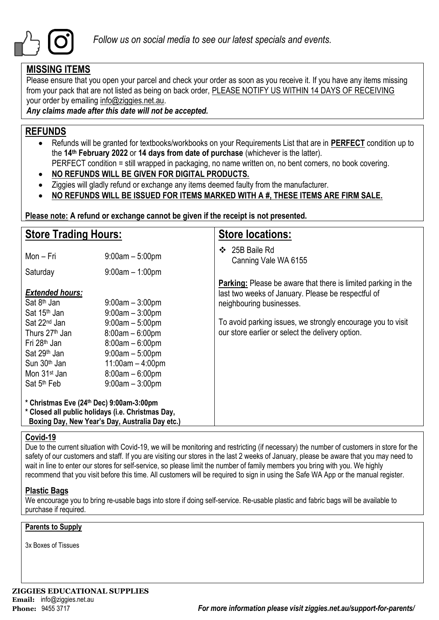

## **MISSING ITEMS**

Please ensure that you open your parcel and check your order as soon as you receive it. If you have any items missing from your pack that are not listed as being on back order, PLEASE NOTIFY US WITHIN 14 DAYS OF RECEIVING your order by emailing info@ziggies.net.au.

*Any claims made after this date will not be accepted.*

## **REFUNDS**

- Refunds will be granted for textbooks/workbooks on your Requirements List that are in **PERFECT** condition up to the **14th February 2022** or **14 days from date of purchase** (whichever is the latter).
	- PERFECT condition = still wrapped in packaging, no name written on, no bent corners, no book covering.
- **NO REFUNDS WILL BE GIVEN FOR DIGITAL PRODUCTS.**
- Ziggies will gladly refund or exchange any items deemed faulty from the manufacturer.
- **NO REFUNDS WILL BE ISSUED FOR ITEMS MARKED WITH A #, THESE ITEMS ARE FIRM SALE.**

**Please note: A refund or exchange cannot be given if the receipt is not presented.**

| <b>Store Trading Hours:</b>                                                                                                                                                                       |                                                                                                                                                  | <b>Store locations:</b>                                                                                                                                |  |  |  |  |  |
|---------------------------------------------------------------------------------------------------------------------------------------------------------------------------------------------------|--------------------------------------------------------------------------------------------------------------------------------------------------|--------------------------------------------------------------------------------------------------------------------------------------------------------|--|--|--|--|--|
| Mon – Fri                                                                                                                                                                                         | $9:00am - 5:00pm$                                                                                                                                | 25B Baile Rd<br>❖<br>Canning Vale WA 6155                                                                                                              |  |  |  |  |  |
| Saturday                                                                                                                                                                                          | $9:00$ am $-1:00$ pm                                                                                                                             |                                                                                                                                                        |  |  |  |  |  |
| <b>Extended hours:</b><br>Sat 8 <sup>th</sup> Jan<br>Sat 15 <sup>th</sup> Jan                                                                                                                     | $9:00$ am $-3:00$ pm<br>$9:00am - 3:00pm$                                                                                                        | <b>Parking:</b> Please be aware that there is limited parking in the<br>last two weeks of January. Please be respectful of<br>neighbouring businesses. |  |  |  |  |  |
| Sat 22 <sup>nd</sup> Jan<br>Thurs 27 <sup>th</sup> Jan<br>Fri 28 <sup>th</sup> Jan<br>Sat 29 <sup>th</sup> Jan<br>Sun 30 <sup>th</sup> Jan<br>Mon 31 <sup>st</sup> Jan<br>Sat 5 <sup>th</sup> Feb | $9:00am - 5:00pm$<br>$8:00am - 6:00pm$<br>$8:00am - 6:00pm$<br>$9:00am - 5:00pm$<br>$11:00am - 4:00pm$<br>$8:00am - 6:00pm$<br>$9:00am - 3:00pm$ | To avoid parking issues, we strongly encourage you to visit<br>our store earlier or select the delivery option.                                        |  |  |  |  |  |
| * Christmas Eve (24th Dec) 9:00am-3:00pm<br>* Closed all public holidays (i.e. Christmas Day,<br>Boxing Day, New Year's Day, Australia Day etc.)                                                  |                                                                                                                                                  |                                                                                                                                                        |  |  |  |  |  |

#### **Covid-19**

Due to the current situation with Covid-19, we will be monitoring and restricting (if necessary) the number of customers in store for the safety of our customers and staff. If you are visiting our stores in the last 2 weeks of January, please be aware that you may need to wait in line to enter our stores for self-service, so please limit the number of family members you bring with you. We highly recommend that you visit before this time. All customers will be required to sign in using the Safe WA App or the manual register.

#### **Plastic Bags**

We encourage you to bring re-usable bags into store if doing self-service. Re-usable plastic and fabric bags will be available to purchase if required.

#### **Parents to Supply**

3x Boxes of Tissues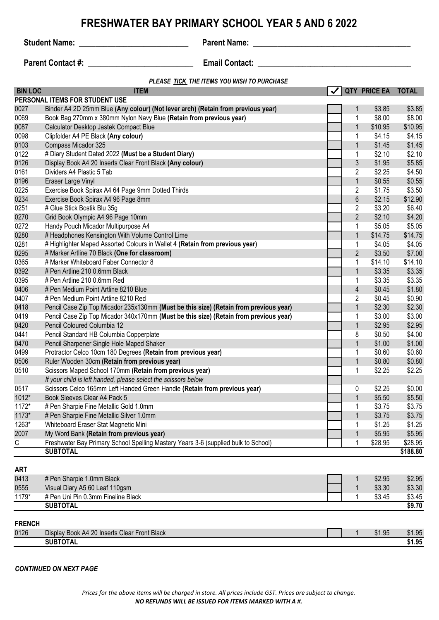## **FRESHWATER BAY PRIMARY SCHOOL YEAR 5 AND 6 2022**

**Student Name:** \_\_\_\_\_\_\_\_\_\_\_\_\_\_\_\_\_\_\_\_\_\_\_\_\_\_\_ **Parent Name: \_\_\_\_\_\_\_\_\_\_\_\_\_\_\_\_\_\_\_\_\_\_\_\_\_\_\_\_\_\_\_\_\_\_\_\_\_\_\_**

**Parent Contact #:**  $\qquad \qquad$  **Email Contact:**  $\qquad \qquad$ 

*PLEASE TICK THE ITEMS YOU WISH TO PURCHASE*

| <b>BIN LOC</b> | <b>ITEM</b>                                                                           |                | QTY PRICE EA TOTAL |          |
|----------------|---------------------------------------------------------------------------------------|----------------|--------------------|----------|
|                | PERSONAL ITEMS FOR STUDENT USE                                                        |                |                    |          |
| 0027           | Binder A4 2D 25mm Blue (Any colour) (Not lever arch) (Retain from previous year)      | 1              | \$3.85             | \$3.85   |
| 0069           | Book Bag 270mm x 380mm Nylon Navy Blue (Retain from previous year)                    | 1              | \$8.00             | \$8.00   |
| 0087           | Calculator Desktop Jastek Compact Blue                                                | $\mathbf{1}$   | \$10.95            | \$10.95  |
| 0098           | Clipfolder A4 PE Black (Any colour)                                                   | 1              | \$4.15             | \$4.15   |
| 0103           | Compass Micador 325                                                                   | $\mathbf{1}$   | \$1.45             | \$1.45   |
| 0122           | # Diary Student Dated 2022 (Must be a Student Diary)                                  | 1              | \$2.10             | \$2.10   |
| 0126           | Display Book A4 20 Inserts Clear Front Black (Any colour)                             | $\sqrt{3}$     | \$1.95             | \$5.85   |
| 0161           | Dividers A4 Plastic 5 Tab                                                             | $\sqrt{2}$     | \$2.25             | \$4.50   |
| 0196           | Eraser Large Vinyl                                                                    | $\mathbf{1}$   | \$0.55             | \$0.55   |
| 0225           | Exercise Book Spirax A4 64 Page 9mm Dotted Thirds                                     | $\overline{2}$ | \$1.75             | \$3.50   |
| 0234           | Exercise Book Spirax A4 96 Page 8mm                                                   | $\,6\,$        | \$2.15             | \$12.90  |
| 0251           | # Glue Stick Bostik Blu 35g                                                           | $\overline{2}$ | \$3.20             | \$6.40   |
| 0270           | Grid Book Olympic A4 96 Page 10mm                                                     | $\overline{2}$ | \$2.10             | \$4.20   |
| 0272           | Handy Pouch Micador Multipurpose A4                                                   | 1              | \$5.05             | \$5.05   |
| 0280           | # Headphones Kensington With Volume Control Lime                                      | 1              | \$14.75            | \$14.75  |
| 0281           | # Highlighter Maped Assorted Colours in Wallet 4 (Retain from previous year)          | 1              | \$4.05             | \$4.05   |
| 0295           | # Marker Artline 70 Black (One for classroom)                                         | $\overline{2}$ | \$3.50             | \$7.00   |
| 0365           | # Marker Whiteboard Faber Connector 8                                                 | 1              | \$14.10            | \$14.10  |
| 0392           | # Pen Artline 210 0.6mm Black                                                         | $\mathbf{1}$   | \$3.35             | \$3.35   |
| 0395           | # Pen Artline 210 0.6mm Red                                                           | 1              | \$3.35             | \$3.35   |
| 0406           | # Pen Medium Point Artline 8210 Blue                                                  | $\overline{4}$ | \$0.45             | \$1.80   |
| 0407           | # Pen Medium Point Artline 8210 Red                                                   | $\overline{2}$ | \$0.45             | \$0.90   |
| 0418           | Pencil Case Zip Top Micador 235x130mm (Must be this size) (Retain from previous year) | $\mathbf{1}$   | \$2.30             | \$2.30   |
| 0419           | Pencil Case Zip Top Micador 340x170mm (Must be this size) (Retain from previous year) | 1              | \$3.00             | \$3.00   |
| 0420           | Pencil Coloured Columbia 12                                                           | $\mathbf{1}$   | \$2.95             | \$2.95   |
| 0441           | Pencil Standard HB Columbia Copperplate                                               | 8              | \$0.50             | \$4.00   |
| 0470           | Pencil Sharpener Single Hole Maped Shaker                                             | $\mathbf{1}$   | \$1.00             | \$1.00   |
| 0499           | Protractor Celco 10cm 180 Degrees (Retain from previous year)                         | 1              | \$0.60             | \$0.60   |
| 0506           | Ruler Wooden 30cm (Retain from previous year)                                         | $\mathbf{1}$   | \$0.80             | \$0.80   |
| 0510           | Scissors Maped School 170mm (Retain from previous year)                               | $\mathbf 1$    | \$2.25             | \$2.25   |
|                | If your child is left handed, please select the scissors below                        |                |                    |          |
| 0517           | Scissors Celco 165mm Left Handed Green Handle (Retain from previous year)             | 0              | \$2.25             | \$0.00   |
| 1012*          | Book Sleeves Clear A4 Pack 5                                                          | 1              | \$5.50             | \$5.50   |
| 1172*          | # Pen Sharpie Fine Metallic Gold 1.0mm                                                | 1              | \$3.75             | \$3.75   |
| 1173*          | # Pen Sharpie Fine Metallic Silver 1.0mm                                              |                | \$3.75             | \$3.75   |
| 1263*          | Whiteboard Eraser Stat Magnetic Mini                                                  | 1              | \$1.25             | \$1.25   |
| 2007           | My Word Bank (Retain from previous year)                                              | $\mathbf{1}$   | \$5.95             | \$5.95   |
| C              | Freshwater Bay Primary School Spelling Mastery Years 3-6 (supplied bulk to School)    | -1             | \$28.95            | \$28.95  |
|                | <b>SUBTOTAL</b>                                                                       |                |                    | \$188.80 |
|                |                                                                                       |                |                    |          |
| <b>ART</b>     |                                                                                       |                |                    |          |
| 0413           | # Pen Sharpie 1.0mm Black                                                             | 1              | \$2.95             | \$2.95   |
| 0555           | Visual Diary A5 60 Leaf 110gsm                                                        | $\mathbf{1}$   | \$3.30             | \$3.30   |
| 1179*          | # Pen Uni Pin 0.3mm Fineline Black                                                    | $\mathbf 1$    | \$3.45             | \$3.45   |
|                | <b>SUBTOTAL</b>                                                                       |                |                    | \$9.70   |
|                |                                                                                       |                |                    |          |
| <b>FRENCH</b>  |                                                                                       |                |                    |          |
| 0126           | Display Book A4 20 Inserts Clear Front Black                                          | 1              | \$1.95             | \$1.95   |
|                | <b>SUBTOTAL</b>                                                                       |                |                    | \$1.95   |

#### *CONTINUED ON NEXT PAGE*